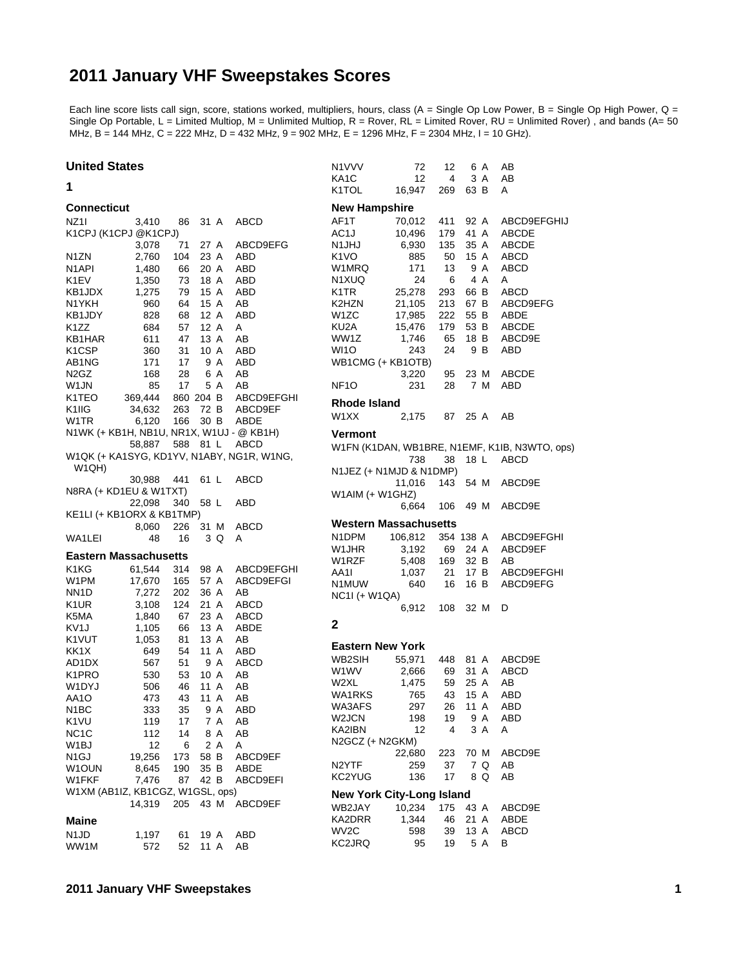## **2011 January VHF Sweepstakes Scores**

Each line score lists call sign, score, stations worked, multipliers, hours, class (A = Single Op Low Power, B = Single Op High Power, Q = Single Op Portable, L = Limited Multiop, M = Unlimited Multiop, R = Rover, RL = Limited Rover, RU = Unlimited Rover) , and bands (A= 50 MHz, B = 144 MHz, C = 222 MHz, D = 432 MHz, 9 = 902 MHz, E = 1296 MHz, F = 2304 MHz, I = 10 GHz).

| <b>United States</b>                     |              |          |              |                                           | N <sub>1</sub> VVV               | 72           | 12        |      | 6 A | AB                                            |
|------------------------------------------|--------------|----------|--------------|-------------------------------------------|----------------------------------|--------------|-----------|------|-----|-----------------------------------------------|
| 1                                        |              |          |              |                                           | KA <sub>1</sub> C                | 12           | 4         |      | 3 A | AB                                            |
|                                          |              |          |              |                                           | K1TOL                            | 16,947       | 269       | 63 B |     | A                                             |
| <b>Connecticut</b>                       |              |          |              |                                           | <b>New Hampshire</b>             |              |           |      |     |                                               |
| NZ1I                                     | 3,410        | 86       | 31 A         | ABCD                                      | AF1T                             | 70,012       | 411       | 92 A |     | ABCD9EFGHIJ                                   |
| K1CPJ (K1CPJ @K1CPJ)                     |              |          |              |                                           | AC <sub>1</sub> J                | 10,496       | 179       | 41 A |     | <b>ABCDE</b>                                  |
|                                          | 3,078        | 71       | 27 A         | ABCD9EFG                                  | N1JHJ                            | 6,930        | 135       | 35 A |     | <b>ABCDE</b>                                  |
| N1ZN                                     | 2,760        | 104      | 23 A         | ABD                                       | K <sub>1</sub> VO                | 885          | 50        | 15 A |     | ABCD                                          |
| N1API                                    | 1,480        | 66       | 20 A         | ABD                                       | W1MRQ                            | 171          | 13        |      | 9 A | ABCD                                          |
| K1EV                                     | 1,350        | 73       | 18 A         | ABD                                       | N1XUQ                            | 24           | 6         |      | 4 A | A                                             |
| KB1JDX                                   | 1,275        | 79       | 15A          | ABD                                       | K1TR                             | 25,278       | 293       | 66 B |     | ABCD                                          |
| N1YKH                                    | 960          | 64       | 15 A         | AB                                        | K2HZN                            | 21,105       | 213       | 67 B |     | ABCD9EFG                                      |
| KB1JDY                                   | 828          | 68       | 12 A         | ABD                                       | W1ZC                             | 17,985       | 222       | 55 B |     | ABDE                                          |
| K <sub>1</sub> ZZ                        | 684          | 57       | 12 A         | Α                                         | KU <sub>2</sub> A                | 15,476       | 179       | 53 B |     | <b>ABCDE</b>                                  |
| KB1HAR                                   | 611          | 47       | 13 A         | AВ                                        | WW1Z                             | 1,746        | 65        | 18 B |     | ABCD9E                                        |
| K <sub>1</sub> CSP                       | 360          | 31       | 10 A         | ABD                                       | WI1O                             | 243          | 24        |      | 9 B | ABD                                           |
| AB1NG                                    | 171          | 17       | 9 A          | ABD                                       | WB1CMG (+ KB1OTB)                |              |           |      |     |                                               |
| N2GZ                                     | 168          | 28       | 6 A          | AB                                        |                                  | 3,220        | 95        | 23 M |     | <b>ABCDE</b>                                  |
| W1JN                                     | 85           | 17       | 5 A          | AB                                        | NF <sub>10</sub>                 | 231          | 28        |      | 7 M | ABD                                           |
| K1TEO                                    | 369,444      |          | 860 204 B    | ABCD9EFGHI                                |                                  |              |           |      |     |                                               |
| K1IIG                                    | 34,632       | 263      | 72 B         | ABCD9EF                                   | <b>Rhode Island</b>              |              |           |      |     |                                               |
| W1TR                                     | 6,120        | 166      | 30 B         | ABDE                                      | W1XX                             | 2,175        | 87        | 25 A |     | AB                                            |
| N1WK (+ KB1H, NB1U, NR1X, W1UJ - @ KB1H) |              |          |              |                                           | Vermont                          |              |           |      |     |                                               |
|                                          | 58,887       | 588      | 81 L         | ABCD                                      |                                  |              |           |      |     |                                               |
|                                          |              |          |              | W1QK (+ KA1SYG, KD1YV, N1ABY, NG1R, W1NG, |                                  |              |           |      |     | W1FN (K1DAN, WB1BRE, N1EMF, K1IB, N3WTO, ops) |
| W1QH)                                    |              |          |              |                                           |                                  | 738          | 38        | 18 L |     | <b>ABCD</b>                                   |
|                                          | 30,988       | 441      | 61 L         | ABCD                                      | N1JEZ (+ N1MJD & N1DMP)          |              |           |      |     |                                               |
| N8RA (+ KD1EU & W1TXT)                   |              |          |              |                                           |                                  | 11,016       | 143       | 54 M |     | ABCD9E                                        |
|                                          | 22,098       | 340      | 58 L         | ABD                                       | W1AIM (+ W1GHZ)                  |              |           |      |     |                                               |
| KE1LI (+ KB1ORX & KB1TMP)                |              |          |              |                                           |                                  | 6,664        | 106       | 49 M |     | ABCD9E                                        |
|                                          | 8,060        | 226      | 31 M         | ABCD                                      | Western Massachusetts            |              |           |      |     |                                               |
| WA1LEI                                   | 48           |          | 3 Q          | Α                                         | N1DPM                            | 106,812      | 354 138 A |      |     | ABCD9EFGHI                                    |
|                                          |              |          |              |                                           |                                  |              |           |      |     |                                               |
|                                          |              | 16       |              |                                           |                                  |              |           |      |     |                                               |
| <b>Eastern Massachusetts</b>             |              |          |              |                                           | W1JHR                            | 3,192        | 69        | 24 A |     | ABCD9EF<br>AB                                 |
| K1KG                                     | 61,544       | 314      | 98 A         | ABCD9EFGHI                                | W1RZF                            | 5,408        | 169       | 32 B |     |                                               |
| W1PM                                     | 17,670       | 165      | 57 A         | ABCD9EFGI                                 | AA1I                             | 1,037<br>640 | 21        | 17 B |     | ABCD9EFGHI                                    |
| NN1D                                     | 7,272        | 202      | 36 A         | AВ                                        | N1MUW                            |              | 16        | 16 B |     | ABCD9EFG                                      |
| K <sub>1</sub> UR                        | 3,108        | 124      | 21 A         | ABCD                                      | NC11 (+ W1QA)                    |              |           |      |     | D                                             |
| K5MA                                     | 1,840        | 67       | 23 A         | ABCD                                      |                                  | 6,912        | 108       | 32 M |     |                                               |
| KV1J                                     | 1,105        | 66       | 13 A         | ABDE                                      | $\mathbf{2}$                     |              |           |      |     |                                               |
| K1VUT                                    | 1,053        | 81       | 13 A         | AВ                                        |                                  |              |           |      |     |                                               |
| KK1X                                     | 649          | 54       | 11 A         | ABD                                       | <b>Eastern New York</b>          |              |           |      |     |                                               |
| AD1DX                                    | 567          | 51       | 9 A          | ABCD                                      | WB2SIH                           | 55,971       | 448       | 81 A |     | ABCD9E                                        |
| K1PRO                                    | 530          | 53       | 10 A         | AB                                        | W1WV                             | 2,666        | 69        | 31 A |     | ABCD                                          |
| W1DYJ                                    | 506          | 46       | 11 A         | AB                                        | W2XL                             | 1,475        | 59        | 25 A |     | AB                                            |
| AA1O                                     | 473          | 43       | 11 A         | AB                                        | <b>WA1RKS</b>                    | 765          | 43        | 15 A |     | ABD                                           |
| N <sub>1</sub> BC                        | 333          | 35       | 9 A          | ABD                                       | WA3AFS                           | 297          | 26        | 11 A |     | ABD                                           |
| K1VU                                     | 119          | 17       | 7 A          | AВ                                        | W2JCN                            | 198          | 19        |      | 9 A | ABD                                           |
| NC <sub>1</sub> C                        | 112          | 14       | 8 A          | AB                                        | KA2IBN                           | 12           | 4         |      | 3 A | A                                             |
| W1BJ                                     | 12           | 6        | 2 A          | Α                                         | N2GCZ (+ N2GKM)                  |              |           |      |     |                                               |
| N <sub>1</sub> GJ                        | 19,256       | 173      | 58 B         | ABCD9EF                                   |                                  | 22,680       | 223       | 70 M |     | ABCD9E                                        |
| W1OUN                                    | 8,645        | 190      | 35 B         | ABDE                                      | N <sub>2</sub> YTF               | 259          | 37        |      | 7 Q | AB                                            |
| W1FKF                                    | 7,476        | 87       | 42 B         | ABCD9EFI                                  | KC2YUG                           | 136          | 17        |      | 8 Q | AB                                            |
| W1XM (AB1IZ, KB1CGZ, W1GSL, ops)         |              |          |              |                                           | <b>New York City-Long Island</b> |              |           |      |     |                                               |
|                                          | 14,319       | 205      | 43 M         | ABCD9EF                                   | WB2JAY                           |              |           |      |     |                                               |
|                                          |              |          |              |                                           |                                  | 10,234       | 175       | 43 A |     | ABCD9E                                        |
| <b>Maine</b>                             |              |          |              |                                           | KA2DRR                           | 1,344        | 46        | 21 A |     | ABDE                                          |
| N <sub>1</sub> J <sub>D</sub><br>WW1M    | 1,197<br>572 | 61<br>52 | 19 A<br>11 A | ABD<br>AB                                 | WV <sub>2</sub> C<br>KC2JRQ      | 598<br>95    | 39<br>19  | 13 A | 5 A | <b>ABCD</b><br>В                              |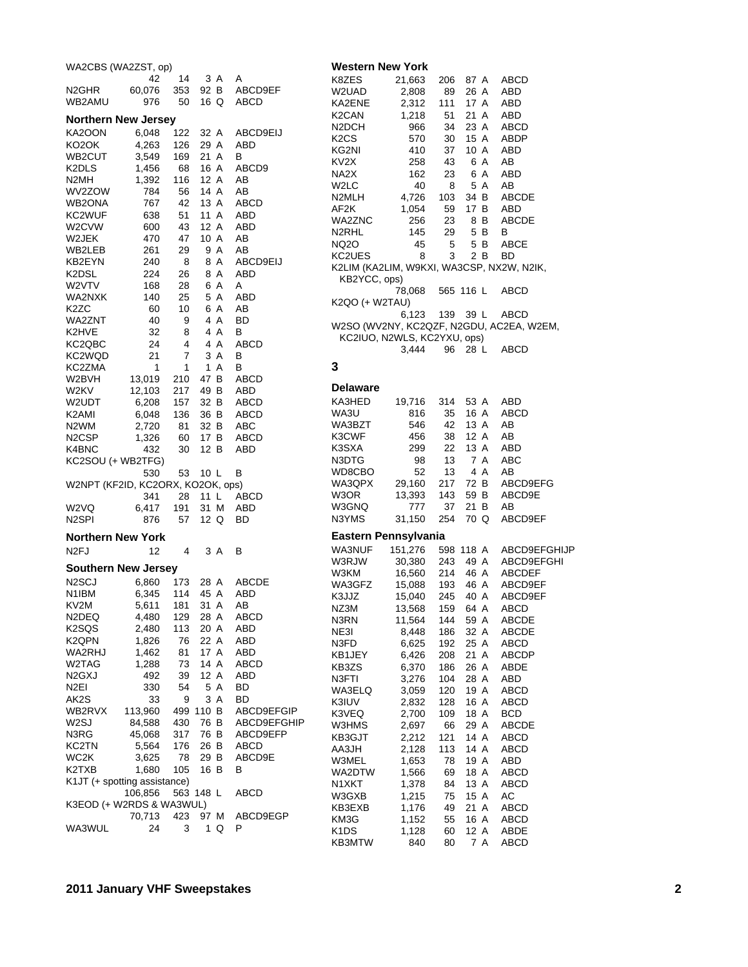| WA2CBS (WA2ZST, op)               |         |           |       |      |                    |
|-----------------------------------|---------|-----------|-------|------|--------------------|
|                                   | 42      | 14        |       | 3 A  | A                  |
| N2GHR                             | 60,076  | 353       |       | 92 B | ABCD9EF            |
| WB2AMU                            | 976     | 50        |       | 16 Q | ABCD               |
| <b>Northern New Jersey</b>        |         |           |       |      |                    |
| KA2OON                            | 6.048   | 122       | 32 A  |      | ABCD9EIJ           |
|                                   |         |           |       |      |                    |
| KO2OK                             | 4,263   | 126       | 29 A  |      | ABD                |
| WB2CUT                            | 3,549   | 169       | 21 A  |      | в                  |
| K2DLS                             | 1,456   | 68        | 16 A  |      | ABCD9              |
| N2MH                              | 1,392   | 116       | 12 A  |      | AB                 |
| WV2ZOW                            | 784     | 56        | 14 A  |      | AB                 |
| WB2ONA                            | 767     | 42        | 13 A  |      | ABCD               |
| KC2WUF                            | 638     | 51        | 11 A  |      | ABD                |
| W2CVW                             | 600     | 43        | 12 A  |      | ABD                |
| W2JEK                             | 470     | 47        | 10 A  |      | AB                 |
| WB2LEB                            | 261     | 29        |       | 9 A  | AB                 |
| KB2EYN                            | 240     | 8         |       | 8 A  | ABCD9EIJ           |
| K2DSL                             | 224     | 26        |       | 8 A  | ABD                |
| W2VTV                             | 168     | 28        |       | 6 A  | A                  |
| WA2NXK                            | 140     | 25        |       | 5 A  | <b>ABD</b>         |
| K2ZC                              | 60      | 10        |       | 6 A  | AB                 |
|                                   |         |           |       | 4 A  |                    |
| WA2ZNT                            | 40      | 9         |       |      | BD                 |
| K2HVE                             | 32      | 8         |       | 4 A  | в                  |
| KC2QBC                            | 24      | 4         |       | 4 A  | ABCD               |
| KC2WQD                            | 21      | 7         |       | 3 A  | в                  |
| KC2ZMA                            | 1       | 1         |       | 1 A  | в                  |
| W2BVH                             | 13,019  | 210       | 47 B  |      | <b>ABCD</b>        |
| W2KV                              | 12,103  | 217       | 49 B  |      | ABD                |
| W2UDT                             | 6,208   | 157       | 32 B  |      | ABCD               |
| K2AMI                             | 6,048   | 136       | 36 B  |      | <b>ABCD</b>        |
| N2WM                              | 2,720   | 81        | 32 B  |      | ABC                |
| N <sub>2</sub> CSP                | 1,326   | 60        | 17 B  |      | ABCD               |
| K4BNC                             | 432     | 30        | 12 B  |      | ABD                |
| KC2SOU (+ WB2TFG)                 |         |           |       |      |                    |
|                                   | 530     | 53        | 10 L  |      | в                  |
| W2NPT (KF2ID, KC2ORX, KO2OK, ops) |         |           |       |      |                    |
|                                   | 341     | 28        |       | 11 L | ABCD               |
| W2VQ                              | 6,417   | 191       | 31 M  |      | ABD                |
| N2SPI                             | 876     | 57        | 12 Q  |      | BD                 |
|                                   |         |           |       |      |                    |
| <b>Northern New York</b>          |         |           |       |      |                    |
| N <sub>2FJ</sub>                  | 12      | 4         |       | 3 A  | В                  |
| <b>Southern New Jersey</b>        |         |           |       |      |                    |
| N <sub>2</sub> SCJ                | 6.860   | 173       |       | 28 A | <b>ABCDE</b>       |
| N <sub>1</sub> IBM                | 6,345   | 114       | 45 A  |      | ABD                |
| KV2M                              |         | 181       | 31    | A    | AВ                 |
|                                   | 5,611   |           |       |      |                    |
| N2DEQ                             | 4,480   | 129       | 28 A  |      | ABCD               |
| K2SQS                             | 2,480   | 113       | 20 A  |      | ABD                |
| K2QPN                             | 1,826   | 76        | 22 A  |      | ABD                |
| WA2RHJ                            | 1,462   | 81        | 17 A  |      | ABD                |
| W2TAG                             | 1,288   | 73        | 14 A  |      | ABCD               |
| N <sub>2</sub> GXJ                | 492     | 39        | 12 A  |      | ABD                |
| N <sub>2EI</sub>                  | 330     | 54        |       | 5 A  | BD                 |
| AK2S                              | 33      | 9         |       | 3 A  | BD                 |
| WB2RVX                            | 113,960 | 499       | 110 B |      | ABCD9EFGIP         |
| W2SJ                              | 84,588  | 430       | 76 B  |      | <b>ABCD9EFGHIP</b> |
| N3RG                              | 45,068  | 317       | 76    | B    | ABCD9EFP           |
| KC2TN                             | 5,564   | 176       | 26 B  |      | ABCD               |
| WC2K                              | 3,625   | 78        | 29 B  |      | ABCD9E             |
| K2TXB                             | 1,680   | 105       | 16    | B    | В                  |
| K1JT (+ spotting assistance)      |         |           |       |      |                    |
|                                   | 106,856 | 563 148 L |       |      | ABCD               |
| K3EOD (+ W2RDS & WA3WUL)          |         |           |       |      |                    |
|                                   | 70,713  | 423       | 97 M  |      | ABCD9EGP           |
| WA3WUL                            | 24      | 3         | 1.    | Q    | P                  |
|                                   |         |           |       |      |                    |

| <b>Western New York</b>                                   |         |     |           |                                          |
|-----------------------------------------------------------|---------|-----|-----------|------------------------------------------|
| K8ZES                                                     | 21,663  | 206 | 87 A      | ABCD                                     |
| W2UAD                                                     | 2,808   | 89  | 26 A      | ABD                                      |
| KA2ENE                                                    | 2,312   | 111 | 17 A      | ABD                                      |
| K2CAN                                                     | 1,218   | 51  | 21 A      | ABD                                      |
| N2DCH                                                     | 966     | 34  | 23 A      | ABCD                                     |
| K <sub>2</sub> CS                                         | 570     | 30  | 15 A      | ABDP                                     |
| KG2NI                                                     | 410     | 37  | 10 A      | ABD                                      |
| KV <sub>2</sub> X                                         | 258     | 43  | 6 A       | AВ                                       |
| NA2X                                                      | 162     | 23  | 6 A       | ABD                                      |
| W2LC                                                      | 40      | 8   | 5 A       | AB                                       |
| N2MLH                                                     | 4,726   | 103 | 34 B      | <b>ABCDE</b>                             |
| AF2K                                                      | 1,054   | 59  | 17 B      | ABD                                      |
| <b>WA2ZNC</b>                                             | 256     | 23  | 8 B       | ABCDE                                    |
| N2RHL                                                     | 145     | 29  | 5 B       | в                                        |
| NQ20                                                      | 45      | 5   | 5 B       | ABCE                                     |
| KC2UES                                                    | 8       | 3   | 2 B       | BD                                       |
| K2LIM (KA2LIM, W9KXI, WA3CSP, NX2W, N2IK,<br>KB2YCC, ops) |         |     |           |                                          |
|                                                           | 78,068  |     | 565 116 L | ABCD                                     |
| K2QO (+ W2TAU)                                            |         |     |           |                                          |
|                                                           | 6,123   | 139 | 39 L      | ABCD                                     |
|                                                           |         |     |           | W2SO (WV2NY, KC2QZF, N2GDU, AC2EA, W2EM, |
| KC2IUO, N2WLS, KC2YXU, ops)                               |         |     |           |                                          |
|                                                           | 3.444   | 96  | 28 L      | ABCD                                     |
| 3                                                         |         |     |           |                                          |
| <b>Delaware</b>                                           |         |     |           |                                          |
| KA3HED                                                    | 19,716  | 314 | 53 A      | ABD                                      |
| WA3U                                                      | 816     | 35  | 16 A      | ABCD                                     |
| WA3BZT                                                    | 546     | 42  | 13 A      | AВ                                       |
| K3CWF                                                     | 456     | 38  | 12 A      | AВ                                       |
| K3SXA                                                     | 299     | 22  | 13 A      | ABD                                      |
| N3DTG                                                     | 98      | 13  | 7 A       | ABC                                      |
| WD8CBO                                                    | 52      | 13  | 4 A       | AВ                                       |
| WA3QPX                                                    | 29,160  | 217 | 72 B      | ABCD9EFG                                 |
| W3OR                                                      | 13,393  | 143 | 59 B      | ABCD9E                                   |
| W3GNQ                                                     | 777     | 37  | 21<br>В   | AB                                       |
| N3YMS                                                     | 31,150  | 254 | 70 Q      | ABCD9EF                                  |
| Eastern Pennsylvania                                      |         |     |           |                                          |
| WA3NUF                                                    | 151,276 |     | 598 118 A | ABCD9EFGHIJP                             |
| W3RJW                                                     | 30,380  | 243 | 49 A      | ABCD9EFGHI                               |
| W3KM                                                      | 16,560  | 214 | 46 A      | <b>ABCDEF</b>                            |
| WA3GFZ                                                    | 15,088  | 193 | 46 A      | ABCD9EF                                  |
| K3JJZ                                                     | 15,040  | 245 | 40 A      | ABCD9EF                                  |
| NZ3M                                                      | 13,568  | 159 | 64 A      | ABCD                                     |
| N3RN                                                      | 11,564  | 144 | 59<br>A   | <b>ABCDE</b>                             |
| NE3I                                                      | 8,448   | 186 | A<br>32   | <b>ABCDE</b>                             |
| N3FD                                                      | 6,625   | 192 | 25 A      | ABCD                                     |
| KB1JEY                                                    | 6,426   | 208 | 21<br>Α   | <b>ABCDP</b>                             |
| KB3ZS                                                     | 6,370   | 186 | Α<br>26   | ABDE                                     |
| N3FTI                                                     | 3,276   | 104 | 28 A      | ABD                                      |
| WA3ELQ                                                    | 3,059   | 120 | 19 A      | ABCD                                     |
| K3IUV                                                     | 2,832   | 128 | 16 A      | ABCD                                     |
| K3VEQ                                                     | 2,700   | 109 | 18 A      | <b>BCD</b>                               |
| W3HMS                                                     | 2,697   | 66  | 29 A      | ABCDE                                    |
| KB3GJT                                                    | 2,212   | 121 | 14 A      | ABCD                                     |
| AA3JH                                                     | 2,128   | 113 | 14 A      | ABCD                                     |
| W3MEL                                                     | 1,653   | 78  | 19 A      | ABD                                      |
| WA2DTW                                                    | 1,566   | 69  | 18 A      | <b>ABCD</b>                              |
| N1XKT                                                     | 1,378   | 84  | Α<br>13   | ABCD                                     |
| W3GXB                                                     | 1,215   | 75  | 15 A      | АC                                       |
| KB3EXB                                                    | 1,176   | 49  | A<br>21   | <b>ABCD</b>                              |
| KM3G                                                      | 1,152   | 55  | 16 A      | ABCD                                     |
| K <sub>1</sub> D <sub>S</sub>                             | 1,128   | 60  | 12 A      | ABDE                                     |

KB3MTW 840 80 7 A ABCD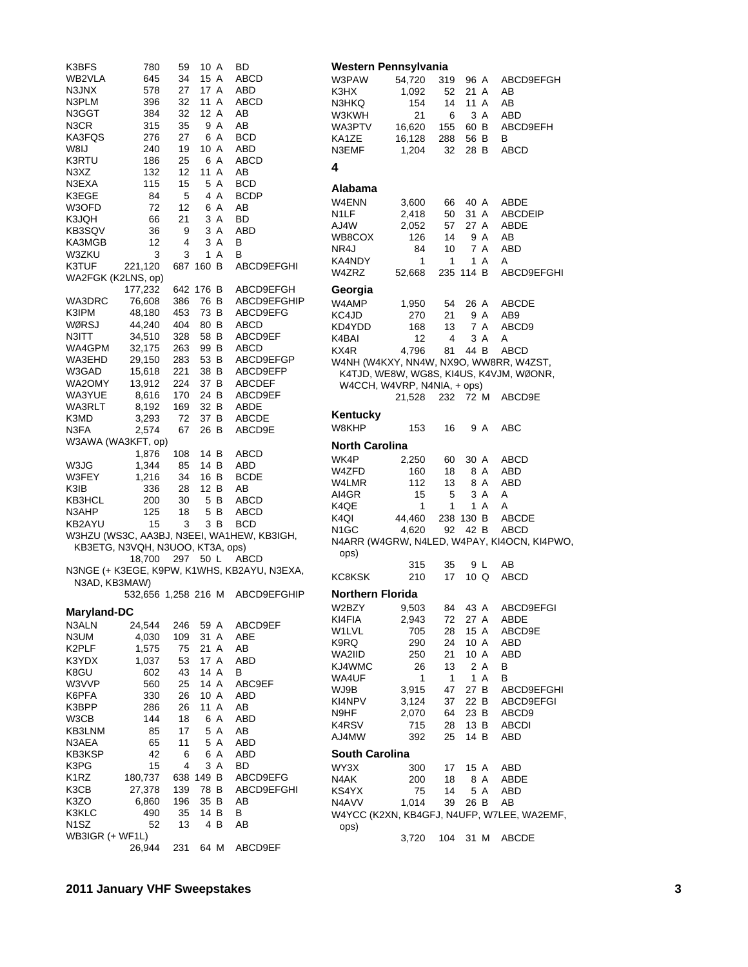| K3BFS                  | 780                              | 59  | 10 A      | <b>BD</b>                                   |
|------------------------|----------------------------------|-----|-----------|---------------------------------------------|
| WB2VLA                 | 645                              | 34  | 15 A      | ABCD                                        |
| N3JNX                  | 578                              | 27  | 17 A      | ABD                                         |
| N3PLM                  | 396                              | 32  | 11 A      | ABCD                                        |
| N3GGT                  | 384                              | 32  | 12 A      | AВ                                          |
| N3CR                   | 315                              | 35  | 9 A       | AВ                                          |
| KA3FQS                 | 276                              | 27  | 6 A       | BCD                                         |
| W8IJ                   | 240                              | 19  | 10 A      | ABD                                         |
| K3RTU                  | 186                              | 25  | 6 A       | ABCD                                        |
| N3XZ                   | 132                              | 12  | 11 A      | AВ                                          |
| N3EXA                  | 115                              | 15  | 5 A       | <b>BCD</b>                                  |
| K3EGE                  | 84                               | 5   | 4 A       | <b>BCDP</b>                                 |
| W3OFD                  | 72                               | 12  | 6 A       | AВ                                          |
| K3JQH                  | 66                               | 21  | 3 A       | BD                                          |
| KB3SQV                 | 36                               | 9   | 3 A       | ABD                                         |
| KA3MGB                 | 12                               | 4   | 3 A       | в                                           |
| W3ZKU                  | 3                                | 3   | 1 A       | в                                           |
| K3TUF                  | 221,120                          |     | 687 160 B | ABCD9EFGHI                                  |
| WA2FGK (K2LNS, op)     |                                  |     |           |                                             |
|                        | 177,232                          | 642 | 176 B     | ABCD9EFGH                                   |
| WA3DRC                 | 76,608                           | 386 | 76 B      | <b>ABCD9EFGHIP</b>                          |
| K3IPM                  | 48,180                           | 453 | 73 B      | ABCD9EFG                                    |
| WØRSJ                  | 44,240                           | 404 | 80 B      | ABCD                                        |
| N3ITT                  | 34,510                           | 328 | 58 B      | ABCD9EF                                     |
| WA4GPM                 | 32,175                           | 263 | 99 B      | ABCD                                        |
| WA3EHD                 | 29,150                           | 283 | 53 B      | ABCD9EFGP                                   |
| W3GAD                  | 15,618                           | 221 | 38 B      | ABCD9EFP                                    |
| WA2OMY                 | 13,912                           | 224 | 37 B      | <b>ABCDEF</b>                               |
|                        |                                  |     | 24 B      |                                             |
| WA3YUE                 | 8,616                            | 170 |           | ABCD9EF                                     |
| WA3RLT                 | 8,192                            | 169 | 32 B      | ABDE                                        |
| K3MD                   | 3,293                            | 72  | 37 B      | ABCDE                                       |
| N3FA                   | 2,574                            | 67  | 26 B      | ABCD9E                                      |
|                        | W3AWA (WA3KFT, op)               |     |           |                                             |
|                        | 1,876                            | 108 | 14 B      | ABCD                                        |
| W3JG                   | 1,344                            | 85  | 14 B      | ABD                                         |
| W3FEY                  | 1,216                            | 34  | 16 B      | <b>BCDE</b>                                 |
| K3IB                   | 336                              | 28  | 12 B      | AВ                                          |
| KB3HCL                 | 200                              | 30  | 5 B       | ABCD                                        |
| N3AHP                  | 125                              | 18  | 5 B       | ABCD                                        |
| KB2AYU                 | 15                               | 3   | 3 B       | <b>BCD</b>                                  |
|                        |                                  |     |           | W3HZU (WS3C, AA3BJ, N3EEI, WA1HEW, KB3IGH,  |
|                        | KB3ETG, N3VQH, N3UOO, KT3A, ops) |     |           |                                             |
|                        | 18,700                           | 297 | 50 L      | ABCD                                        |
|                        |                                  |     |           | N3NGE (+ K3EGE, K9PW, K1WHS, KB2AYU, N3EXA, |
| N3AD, KB3MAW)          |                                  |     |           |                                             |
|                        |                                  |     |           | 532,656 1,258 216 M ABCD9EFGHIP             |
| <b>Maryland-DC</b>     |                                  |     |           |                                             |
|                        |                                  |     |           |                                             |
| N3ALN                  | 24,544                           | 246 | 59 A      | ABCD9EF                                     |
| N3UM                   | 4,030                            | 109 | 31 A      | ABE                                         |
| K2PLF                  | 1,575                            | 75  | 21 A      | AВ                                          |
| K3YDX                  | 1,037                            | 53  | 17 A      | ABD                                         |
| K8GU                   | 602                              | 43  | 14 A      | в                                           |
| W3VVP                  | 560                              | 25  | 14 A      | ABC9EF                                      |
| K6PFA                  | 330                              | 26  | 10 A      | ABD                                         |
| K3BPP                  | 286                              | 26  | 11 A      | AВ                                          |
| W3CB                   | 144                              | 18  | 6 A       | ABD                                         |
| KB3LNM                 | 85                               | 17  | 5 A       | AB                                          |
| N3AEA                  | 65                               | 11  | 5 A       | ABD                                         |
| KB3KSP                 | 42                               | 6   | 6 A       | ABD                                         |
| K3PG                   | 15                               | 4   | 3 A       | BD                                          |
| K1RZ                   | 180,737                          | 638 | 149 B     | ABCD9EFG                                    |
| K3CB                   | 27,378                           | 139 | 78 B      | ABCD9EFGHI                                  |
| K3ZO                   | 6,860                            | 196 | 35 B      | AВ                                          |
| K3KLC                  | 490                              | 35  | 14 B      | в                                           |
| N <sub>1</sub> SZ      | 52                               | 13  | 4 B       | AВ                                          |
| <b>WB3IGR (+ WF1L)</b> |                                  |     |           |                                             |
|                        |                                  |     |           | 26,944 231 64 M ABCD9EF                     |
|                        |                                  |     |           |                                             |

| 1SZ.            | 52                 | 13 4 B AB |  |
|-----------------|--------------------|-----------|--|
| 'B3IGR (+ WF1L) |                    |           |  |
|                 | 26,944 231 64 M AB |           |  |
|                 |                    |           |  |
|                 |                    |           |  |
|                 |                    |           |  |

| Western Pennsylvania                                                                                      |                                                                                         |                                                               |                                                                                                  |                                                                                                                                                                        |
|-----------------------------------------------------------------------------------------------------------|-----------------------------------------------------------------------------------------|---------------------------------------------------------------|--------------------------------------------------------------------------------------------------|------------------------------------------------------------------------------------------------------------------------------------------------------------------------|
| W3PAW<br>K3HX<br>N3HKQ<br>W3KWH<br>WA3PTV<br>KA1ZE<br>N3EMF                                               | 54,720 319<br>1,092<br>154<br>21<br>16,620 155<br>16,128<br>1,204                       | 52<br>14<br>6<br>32                                           | 21 A<br>11 A<br>3 A<br>60 B<br>288 56 B B                                                        | 96 A ABCD9EFGH<br>AB<br>AB<br>ABD<br>ABCD9EFH<br>28 B ABCD                                                                                                             |
| 4                                                                                                         |                                                                                         |                                                               |                                                                                                  |                                                                                                                                                                        |
| Alabama<br>W4ENN<br>N1LF<br>AJ4W<br>WB8COX<br>NR4J<br>KA4NDY<br>W4ZRZ                                     | 3,600<br>2,418<br>2,052<br>126<br>84<br>1<br>52,668                                     | 66<br>50<br>57<br>14<br>10<br>1.                              | 40 A<br>31 A<br>9 A<br>1 A<br>235 114 B                                                          | ABDE<br>ABCDEIP<br>27 A ABDE<br>AB<br>7 A ABD<br>A<br>ABCD9EFGHI                                                                                                       |
| Georgia<br>W4AMP<br>KC4JD<br>KD4YDD<br>K4BAI<br>KX4R                                                      | 1,950<br>270<br>168<br>12<br>4,796<br>W4CCH, W4VRP, N4NIA, + ops)                       | 54<br>$\overline{4}$<br>81                                    | 26 A<br>3 A<br>44 B                                                                              | ABCDE<br>21 9 A AB9<br>13 7 A ABCD9<br>A<br><b>ABCD</b><br>W4NH (W4KXY, NN4W, NX9O, WW8RR, W4ZST,<br>K4TJD, WE8W, WG8S, KI4US, K4VJM, WØONR,<br>21,528 232 72 M ABCD9E |
| Kentucky<br>W8KHP                                                                                         | 153                                                                                     | 16                                                            | 9 A                                                                                              | ABC                                                                                                                                                                    |
| <b>North Carolina</b>                                                                                     |                                                                                         |                                                               |                                                                                                  |                                                                                                                                                                        |
| WK4P<br>W4ZFD -<br>W4LMR<br>AI4GR<br>K4QE<br>K4QI<br>N1GC<br>ops)                                         | 2,250 60<br>160<br>112<br>15<br>1<br>44,460<br>4,620                                    | 18<br>5<br>1<br>92                                            | 30 A<br>8 A<br>238 130 B<br>42 B                                                                 | ABCD<br>ABD<br>13 8 A ABD<br>3 A A<br>1 A A<br><b>ABCDE</b><br>ABCD<br>N4ARR (W4GRW, N4LED, W4PAY, KI4OCN, KI4PWO,                                                     |
| KC8KSK                                                                                                    | 315<br>210                                                                              | 35<br>17                                                      | 9 L<br>$10\Omega$                                                                                | AВ<br>ABCD                                                                                                                                                             |
| <b>Northern Florida</b>                                                                                   |                                                                                         |                                                               |                                                                                                  |                                                                                                                                                                        |
| W2BZY<br>KI4FIA<br>W1LVL<br>K9RQ<br>WA2IID<br>KJ4WMC<br>WA4UF<br>WJ9B<br>KI4NPV<br>N9HF<br>K4RSV<br>AJ4MW | 9,503<br>2,943<br>705<br>290<br>250<br>26<br>1<br>3,915<br>3,124<br>2,070<br>715<br>392 | 72<br>28<br>24<br>21<br>13<br>1<br>47<br>37<br>64<br>28<br>25 | 27 A<br>15 A<br>10 A<br>10 A<br>2 A<br>$\mathbf{1}$<br>Α<br>27 B<br>22 B<br>23 B<br>13 B<br>14 B | 84 43 A ABCD9EFGI<br>ABDE<br>ABCD9E<br>ABD<br>ABD<br>В<br>в<br>ABCD9EFGHI<br>ABCD9EFGI<br>ABCD9<br><b>ABCDI</b><br>ABD                                                 |
| <b>South Carolina</b>                                                                                     |                                                                                         |                                                               |                                                                                                  |                                                                                                                                                                        |
| WY3X<br>N4AK<br>KS4YX<br>N4AVV<br>ops)                                                                    | 300<br>200<br>75<br>1,014                                                               | 17<br>18<br>14<br>39                                          | 15 A<br>8 A<br>5 A<br>26 B                                                                       | ABD<br>ABDE<br>ABD<br>AВ<br>W4YCC (K2XN, KB4GFJ, N4UFP, W7LEE, WA2EMF,                                                                                                 |
|                                                                                                           | 3,720                                                                                   |                                                               |                                                                                                  | 104 31 M ABCDE                                                                                                                                                         |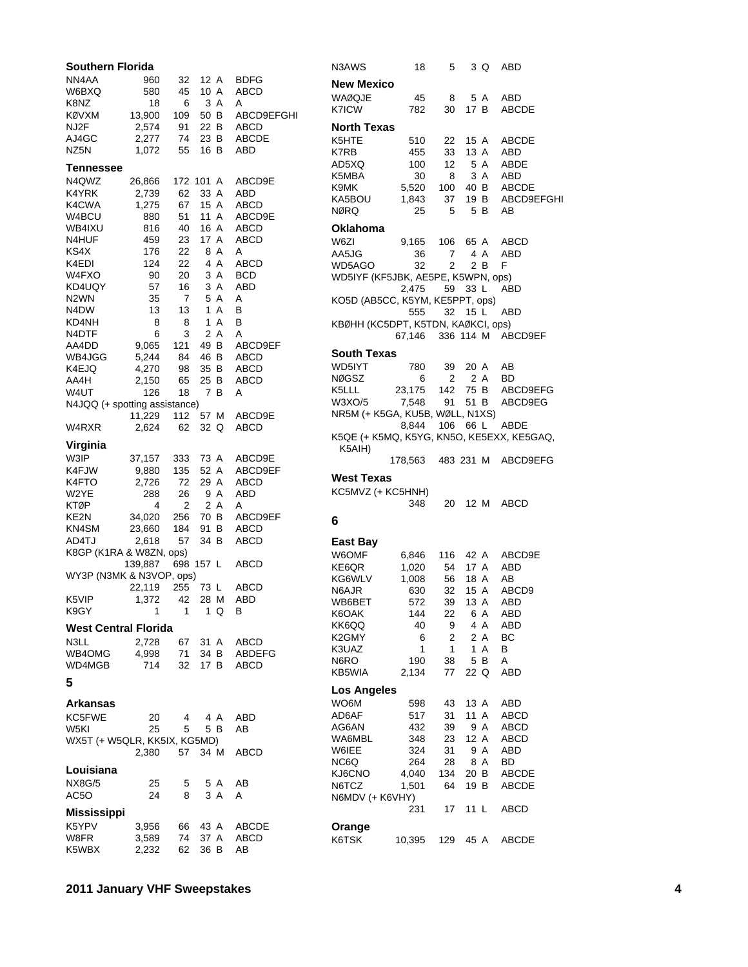| <b>Southern Florida</b>       |            |              |                     |               |
|-------------------------------|------------|--------------|---------------------|---------------|
| NN4AA                         | 960        | 32           | 12 A                | BDFG          |
| W6BXQ                         | 580        | 45           | 10 A                | ABCD          |
| K8NZ                          | 18         | 6            | 3 A                 | Α             |
| KØVXM                         | 13,900     | 109          | 50 B                | ABCD9EFGHI    |
| NJ2F                          | 2,574      | 91           | 22 B                | ABCD          |
| AJ4GC                         | 2,277      | 74           | 23 B                | ABCDE         |
| NZ5N                          | 1,072      | 55           | 16 B                | ABD           |
| Tennessee                     |            |              |                     |               |
| N4QWZ                         | 26,866     | 172          | 101<br>A            | ABCD9E        |
| K4YRK                         | 2,739      | 62           | 33 A                | ABD           |
| K4CWA                         | 1,275      | 67           | 15 A                | <b>ABCD</b>   |
| W4BCU                         | 880        | 51           | 11 A                | ABCD9E        |
| WB4IXU                        | 816        | 40           | 16 A                | ABCD          |
| N4HUF                         | 459        | 23           | 17 A                | ABCD          |
| KS4X                          | 176        | 22           | 8 A                 | Α             |
| K4EDI                         | 124        | 22           | 4 A                 | <b>ABCD</b>   |
| W4FXO                         | 90         | 20           | 3 A                 | <b>BCD</b>    |
| KD4UQY                        | 57         | 16           | 3 A                 | ABD           |
| N <sub>2</sub> WN             | 35         | 7            | 5 A                 | Α             |
| N4DW                          | 13         | 13           | A<br>1              | B             |
| KD4NH<br>N4DTF                | 8          | 8            | 1<br>A<br>2A        | B<br>A        |
| AA4DD                         | 6<br>9,065 | 3<br>121     | 49 B                | ABCD9EF       |
| WB4JGG                        | 5,244      | 84           | 46 B                | ABCD          |
| K4EJQ                         | 4,270      | 98           | 35 B                | ABCD          |
| AA4H                          | 2,150      | 65           | 25 B                | ABCD          |
| W4UT                          | 126        | 18           | $\overline{7}$<br>в | Α             |
| N4JQQ (+ spotting assistance) |            |              |                     |               |
|                               | 11,229     | 112          | 57 M                | ABCD9E        |
| W4RXR                         | 2,624      | 62           | 32 Q                | ABCD          |
| Virginia                      |            |              |                     |               |
| W3IP                          | 37,157     | 333          | 73 A                | ABCD9E        |
| K4FJW                         | 9,880      | 135          | 52 A                | ABCD9EF       |
| K4FTO                         | 2,726      | 72           | 29 A                | ABCD          |
| W2YE                          | 288        | 26           | 9 A                 | ABD           |
| KTØP                          | 4          | 2            | 2 A                 | A             |
| KE2N                          | 34,020     | 256          | 70 B                | ABCD9EF       |
| KN4SM                         | 23,660     | 184          | 91<br>в             | ABCD          |
| AD4TJ                         | 2,618      | 57           | 34 B                | ABCD          |
| K8GP (K1RA & W8ZN, ops)       |            |              |                     |               |
|                               | 139,887    |              | 698 157 L           | <b>ABCD</b>   |
| WY3P (N3MK & N3VOP, ops)      |            |              |                     |               |
|                               | 22,119     | 255          | 73 L                | ABCD          |
| K5VIP                         | 1,372      | 42           | 28 M                | <b>ABD</b>    |
| K9GY                          |            | $\mathbf{1}$ | 1 Q                 | В             |
| <b>West Central Florida</b>   |            |              |                     |               |
| N3LL                          | 2,728      | 67           | 31 A                | ABCD          |
| WB4OMG                        | 4,998      | 71           | 34 B                | <b>ABDEFG</b> |
| WD4MGB                        | 714        | 32           | 17 B                | ABCD          |
| 5                             |            |              |                     |               |
|                               |            |              |                     |               |
| Arkansas                      |            |              |                     |               |
| KC5FWE                        | 20         | 4            | 4 A                 | ABD           |
| W5KI                          | 25         | 5            | 5 B                 | AВ            |
| WX5T (+ W5QLR, KK5IX, KG5MD)  |            |              |                     |               |
|                               | 2,380      |              | 57 34 M             | <b>ABCD</b>   |
| Louisiana                     |            |              |                     |               |
| NX8G/5                        | 25         | 5            | 5 A                 | AB            |
| AC5O                          | 24         | 8            | 3 A                 | Α             |
| <b>Mississippi</b>            |            |              |                     |               |
| K5YPV                         | 3,956      | 66           | 43 A                | <b>ABCDE</b>  |
| W8FR                          | 3,589      | 74           | 37 A                | <b>ABCD</b>   |
| K5WBX                         | 2,232      | 62           | 36 B                | AВ            |
|                               |            |              |                     |               |

| <b>New Mexico</b>                  |                     |                 |              |      |                                           |
|------------------------------------|---------------------|-----------------|--------------|------|-------------------------------------------|
| WAØQJE                             | 45                  |                 |              |      | 8 5 A ABD                                 |
| K7ICW                              | 782                 | 30              |              | 17 B | <b>ABCDE</b>                              |
| <b>North Texas</b>                 |                     |                 |              |      |                                           |
| K5HTE                              | 510                 | 22              | 15 A         |      | <b>ABCDE</b>                              |
| K7RB                               | 455                 | 33              | 13 A         |      | ABD                                       |
| AD5XQ                              | 100                 | 12 <sup>7</sup> |              |      | 5 A ABDE                                  |
| K5MBA                              |                     |                 |              |      |                                           |
| K9MK                               |                     |                 |              |      | 30 8 3 A ABD<br>5,520 100 40 B ABCDE      |
| KA5BOU                             | 1,843 37            |                 |              |      | 19 B ABCD9EFGHI                           |
| NØRQ                               | 25                  | 5               | 5 B          |      | AB                                        |
|                                    |                     |                 |              |      |                                           |
| Oklahoma                           |                     |                 |              |      |                                           |
| W6ZI                               | 9,165               |                 |              |      | 106 65 A ABCD<br>7 4 A ABD                |
| AA5JG                              | 36                  |                 |              |      |                                           |
| WD5AGO                             | 32                  | $2^{\circ}$     |              | 2B   | F                                         |
| WD5IYF (KF5JBK, AE5PE, K5WPN, ops) |                     |                 |              |      |                                           |
|                                    | 2,475 59 33 L       |                 |              |      | <b>ABD</b>                                |
| KO5D (AB5CC, K5YM, KE5PPT, ops)    |                     |                 |              |      |                                           |
|                                    |                     | 555 32 15 L     |              |      | ABD                                       |
| KBØHH (KC5DPT, K5TDN, KAØKCI, ops) |                     |                 |              |      |                                           |
|                                    |                     |                 |              |      | 67,146 336 114 M ABCD9EF                  |
| South Texas                        |                     |                 |              |      |                                           |
| WD5IYT                             | 780                 | 39              |              |      |                                           |
| NØGSZ                              | 6                   | $\overline{2}$  |              |      | 20 A AB<br>2 A BD                         |
| K5LLL                              |                     |                 |              |      | 23,175 142 75 B ABCD9EFG                  |
| W3XO/5                             | 7,548               | 91              |              |      | 51 B ABCD9EG                              |
| NR5M (+ K5GA, KU5B, WØLL, N1XS)    |                     |                 |              |      |                                           |
|                                    | 8,844 106 66 L ABDE |                 |              |      |                                           |
|                                    |                     |                 |              |      | K5QE (+ K5MQ, K5YG, KN5O, KE5EXX, KE5GAQ, |
| K5AIH)                             |                     |                 |              |      |                                           |
|                                    |                     |                 |              |      | 178,563 483 231 M ABCD9EFG                |
|                                    |                     |                 |              |      |                                           |
|                                    |                     |                 |              |      |                                           |
| West Texas                         |                     |                 |              |      |                                           |
| KC5MVZ (+ KC5HNH)                  |                     |                 |              |      |                                           |
|                                    | 348                 | 20              |              |      | 12 M ABCD                                 |
| 6                                  |                     |                 |              |      |                                           |
|                                    |                     |                 |              |      |                                           |
| <b>East Bay</b>                    |                     |                 |              |      |                                           |
| W6OMF                              | 6,846               | 116             |              |      | 42 A ABCD9E                               |
| KE6QR                              | 1,020               | 54              |              |      | 17 A ABD                                  |
| KG6WLV                             | 1,008               | 56              |              |      |                                           |
| N6AJR                              | 630                 | 32              |              |      | 18 A AB<br>15 A ABCD9                     |
| WB6BET                             | 572                 | 39              |              |      | 13 A ABD                                  |
| K6OAK                              | 144                 | 22              | 6 A          |      | ABD                                       |
| KK6QQ                              | - 40                | - 9             |              |      | 4 A ABD                                   |
| K2GMY                              | 6                   | 2               | 2 A          |      | ВC                                        |
| K3UAZ                              | 1                   | 1               | $\mathbf{1}$ | Α    | в                                         |
| N6RO                               | 190                 | 38              |              | 5 B  | Α                                         |
| KB5WIA                             | 2,134               | 77              | 22 Q         |      | ABD                                       |
| <b>Los Angeles</b>                 |                     |                 |              |      |                                           |
| WO6M                               | 598                 | 43              | 13 A         |      | ABD                                       |
| AD6AF                              | 517                 | 31              | 11 A         |      | ABCD                                      |
| AG6AN                              | 432                 | 39              |              | 9 A  | ABCD                                      |
| WA6MBL                             | 348                 | 23              | 12 A         |      | ABCD                                      |
| W6IEE                              | 324                 | 31              |              | 9 A  | ABD                                       |
| NC6Q                               | 264                 | 28              |              | 8 A  | BD                                        |
| KJ6CNO                             | 4,040               | 134             | 20 B         |      | <b>ABCDE</b>                              |
| N6TCZ                              | 1,501               | 64              |              | 19 B | <b>ABCDE</b>                              |
| N6MDV (+ K6VHY)                    |                     |                 |              |      |                                           |
|                                    | 231                 | 17              | 11 L         |      | ABCD                                      |
|                                    |                     |                 |              |      |                                           |
| Orange                             |                     |                 |              |      |                                           |
| K6TSK                              | 10,395              | 129             |              |      | 45 A ABCDE                                |

N3AWS 18 5 3 Q ABD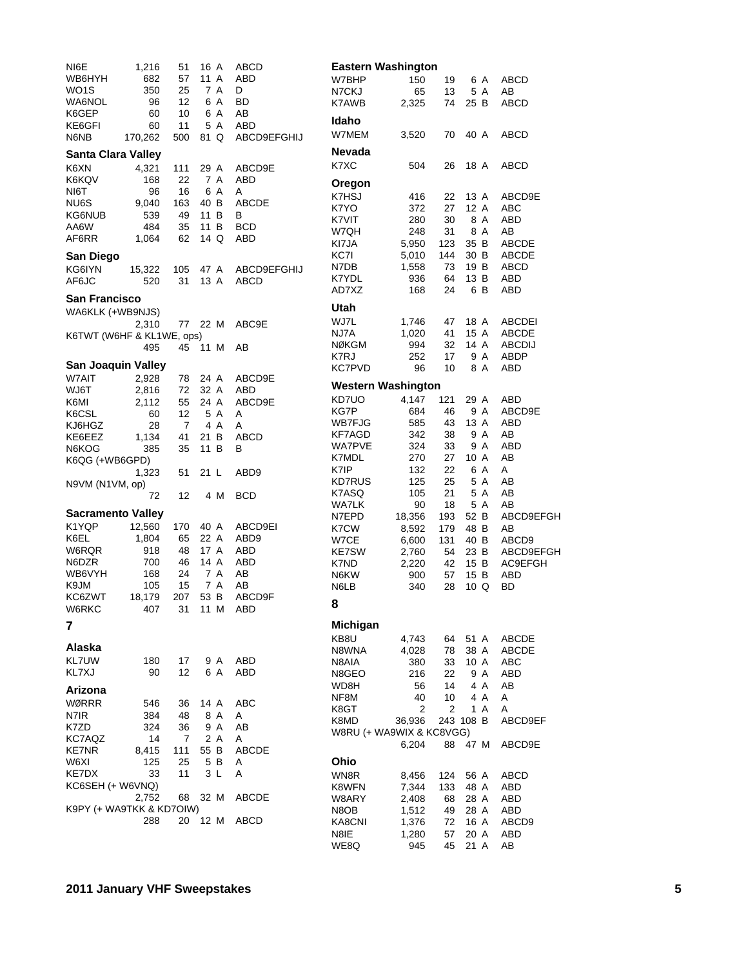| NI6E                      | 1,216   | 51             | 16 A     | <b>ABCD</b>      | <b>Eastern Washington</b> |        |     |           |               |
|---------------------------|---------|----------------|----------|------------------|---------------------------|--------|-----|-----------|---------------|
| WB6HYH                    | 682     | 57             | 11 A     | ABD              | W7BHP                     | 150    | 19  | 6 A       | ABCD          |
| WO <sub>1</sub> S         | 350     | 25             | 7 A      | D                | N7CKJ                     | 65     | 13  | 5 A       | AB            |
| WA6NOL                    | 96      | 12             | 6 A      | BD               | K7AWB                     | 2,325  | 74  | 25 B      | ABCD          |
| K6GEP                     | 60      | 10             | 6 A      | AB               |                           |        |     |           |               |
| KE6GFI                    | 60      | 11             | 5 A      | <b>ABD</b>       | Idaho                     |        |     |           |               |
| N6NB                      | 170,262 | 500            | 81 Q     | ABCD9EFGHIJ      | W7MEM                     | 3,520  | 70  | 40 A      | ABCD          |
|                           |         |                |          |                  | Nevada                    |        |     |           |               |
| <b>Santa Clara Valley</b> |         |                |          |                  | K7XC                      | 504    | 26  | 18 A      | ABCD          |
| K6XN                      | 4,321   | 111            | 29 A     | ABCD9E           |                           |        |     |           |               |
| K6KQV                     | 168     | 22             | 7 A      | ABD              | Oregon                    |        |     |           |               |
| NI6T                      | 96      | 16             | 6 A      | Α                | K7HSJ                     | 416    | 22  | 13 A      | ABCD9E        |
| NU6S                      | 9,040   | 163            | 40 B     | <b>ABCDE</b>     | K7YO                      | 372    | 27  | 12 A      | ABC           |
| KG6NUB                    | 539     | 49             | 11 B     | В                | K7VIT                     | 280    | 30  | 8 A       | ABD           |
| AA6W                      | 484     | 35             | 11 B     | <b>BCD</b>       | W7QH                      | 248    | 31  | 8 A       | AB            |
| AF6RR                     | 1,064   | 62             | 14 Q     | <b>ABD</b>       | KI7JA                     | 5,950  | 123 | 35 B      | <b>ABCDE</b>  |
| San Diego                 |         |                |          |                  | KC7I                      | 5,010  | 144 | 30 B      | <b>ABCDE</b>  |
| KG6IYN                    | 15,322  | 105            | 47 A     | ABCD9EFGHIJ      | N7DB                      | 1,558  | 73  | 19 B      | ABCD          |
| AF6JC                     | 520     | 31             | 13 A     | ABCD             | K7YDL                     | 936    | 64  | 13 B      | ABD           |
|                           |         |                |          |                  | AD7XZ                     | 168    | 24  | 6 B       | ABD           |
| <b>San Francisco</b>      |         |                |          |                  | <b>Utah</b>               |        |     |           |               |
| WA6KLK (+WB9NJS)          |         |                |          |                  |                           |        |     |           |               |
|                           | 2,310   | 77             | 22 M     | ABC9E            | WJ7L                      | 1,746  | 47  | 18 A      | <b>ABCDEI</b> |
| K6TWT (W6HF & KL1WE, ops) |         |                |          |                  | NJ7A                      | 1,020  | 41  | 15 A      | <b>ABCDE</b>  |
|                           | 495     | 45             | 11 M     | AВ               | <b>NØKGM</b>              | 994    | 32  | 14 A      | <b>ABCDIJ</b> |
| San Joaquin Valley        |         |                |          |                  | K7RJ                      | 252    | 17  | 9 A       | ABDP          |
|                           |         |                |          |                  | <b>KC7PVD</b>             | 96     | 10  | 8 A       | ABD           |
| W7AIT                     | 2,928   | 78             | 24 A     | ABCD9E           | <b>Western Washington</b> |        |     |           |               |
| WJ6T                      | 2,816   | 72             | 32 A     | ABD              | KD7UO                     | 4,147  | 121 | 29 A      | ABD           |
| K6MI                      | 2,112   | 55             | 24 A     | ABCD9E           | KG7P                      | 684    | 46  | 9 A       | ABCD9E        |
| K6CSL                     | 60      | 12             | 5 A      | Α                | WB7FJG                    | 585    | 43  | 13 A      | ABD           |
| KJ6HGZ                    | 28      | $\overline{7}$ | 4 A      | A                | KF7AGD                    | 342    | 38  | 9 A       | AB            |
| KE6EEZ                    | 1,134   | 41             | 21 B     | <b>ABCD</b><br>В | <b>WA7PVE</b>             | 324    | 33  | 9 A       | ABD           |
| N6KOG                     | 385     | 35             | 11 B     |                  | K7MDL                     | 270    | 27  | 10 A      | AB            |
| K6QG (+WB6GPD)            |         | 51             | 21 L     | ABD9             | K7IP                      | 132    | 22  | 6 A       | Α             |
|                           | 1,323   |                |          |                  | <b>KD7RUS</b>             | 125    | 25  | 5 A       | AB            |
| N9VM (N1VM, op)           |         | 12             |          |                  | K7ASQ                     | 105    | 21  | 5 A       | AB            |
|                           | 72      |                | 4 M      | <b>BCD</b>       | <b>WA7LK</b>              | 90     | 18  | 5 A       | AB            |
| <b>Sacramento Valley</b>  |         |                |          |                  | N7EPD                     | 18,356 | 193 | 52 B      | ABCD9EFGH     |
| K1YQP                     | 12,560  | 170            | 40 A     | ABCD9EI          | K7CW                      | 8,592  | 179 | 48 B      | AB            |
| K6EL                      | 1,804   | 65             | 22 A     | ABD9             | W7CE                      | 6,600  | 131 | 40 B      | ABCD9         |
| W6RQR                     | 918     | 48             | 17 A     | ABD              | <b>KE7SW</b>              | 2,760  | 54  | 23 B      | ABCD9EFGH     |
| N6DZR                     | 700     | 46             | 14 A     | ABD              | K7ND                      | 2,220  | 42  | 15 B      | AC9EFGH       |
| WB6VYH                    | 168     | 24             | 7 A      | AB               | N6KW                      | 900    | 57  | 15 B      | ABD           |
| K9JM                      | 105     | 15             | 7 A      | AB               | N6LB                      | 340    | 28  | 10Q       | BD            |
| KC6ZWT                    | 18,179  | 207            | 53 B     | ABCD9F           |                           |        |     |           |               |
| W6RKC                     | 407     | 31             | 11 M ABD |                  | 8                         |        |     |           |               |
| 7                         |         |                |          |                  | <b>Michigan</b>           |        |     |           |               |
|                           |         |                |          |                  | KB8U                      | 4,743  | 64  | 51 A      | ABCDE         |
| Alaska                    |         |                |          |                  | N8WNA                     | 4,028  | 78  | 38 A      | <b>ABCDE</b>  |
| KL7UW                     | 180     | 17             | 9 A      | ABD              | N8AIA                     | 380    | 33  | 10 A      | ABC           |
| KL7XJ                     | 90      | 12             | 6 A      | <b>ABD</b>       | N8GEO                     | 216    | 22  | 9 A       | ABD           |
|                           |         |                |          |                  | WD8H                      | 56     | 14  | 4 A       | AB            |
| Arizona                   |         |                |          |                  | NF8M                      | 40     | 10  | 4 A       | A             |
| WØRRR                     | 546     | 36             | 14 A     | <b>ABC</b>       | K8GT                      | 2      | 2   | 1 A       | A             |
| N7IR                      | 384     | 48             | 8 A      | A                | K8MD                      | 36,936 |     | 243 108 B | ABCD9EF       |
| K7ZD                      | 324     | 36             | 9 A      | AB               | W8RU (+ WA9WIX & KC8VGG)  |        |     |           |               |
| KC7AQZ                    | 14      | $\overline{7}$ | 2 A      | A                |                           | 6,204  |     | 88 47 M   | ABCD9E        |
| <b>KE7NR</b>              | 8,415   | 111            | 55 B     | <b>ABCDE</b>     |                           |        |     |           |               |
| W6XI                      | 125     | 25             | 5 B      | Α                | Ohio                      |        |     |           |               |
| KE7DX                     | 33      | 11             | 3 L      | Α                | WN8R                      | 8,456  | 124 | 56 A      | ABCD          |
| KC6SEH (+ W6VNQ)          |         |                |          |                  | K8WFN                     | 7,344  | 133 | 48 A      | ABD           |
|                           | 2,752   | 68             | 32 M     | ABCDE            | W8ARY                     | 2,408  | 68  | 28 A      | ABD           |
| K9PY (+ WA9TKK & KD7OIW)  |         |                |          |                  | N8OB                      | 1,512  | 49  | 28 A      | ABD           |
|                           | 288     |                | 20 12 M  | ABCD             | KA8CNI                    | 1,376  | 72  | 16 A      | ABCD9         |
|                           |         |                |          |                  | N8IE                      | 1,280  | 57  | 20 A      | ABD           |
|                           |         |                |          |                  | WE8Q                      | 945    | 45  | 21 A      | AB            |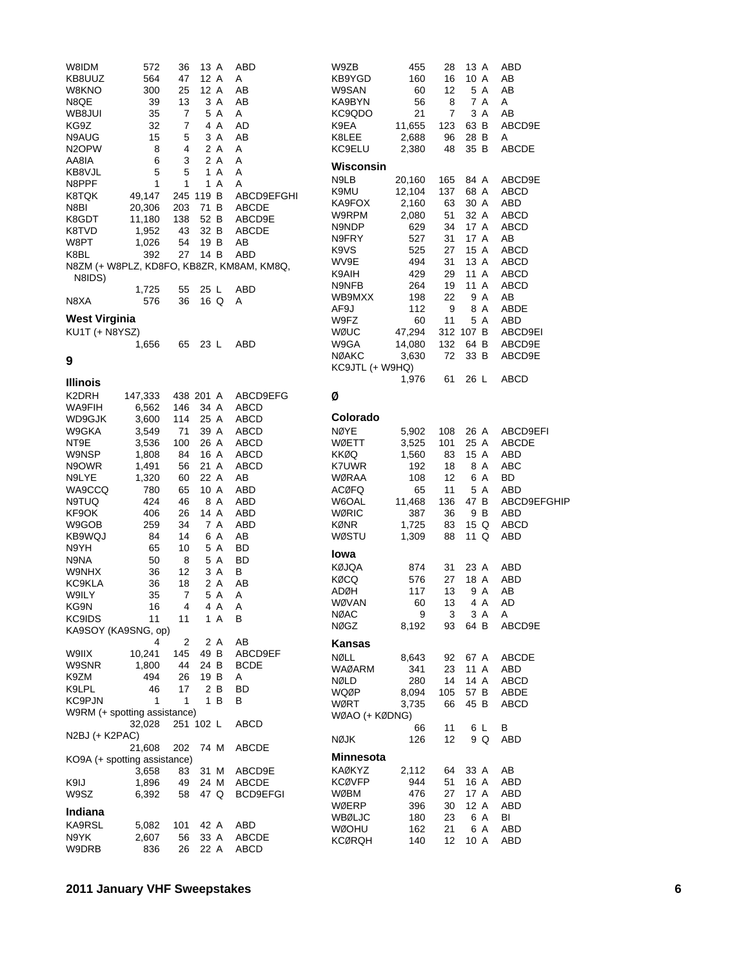| W8IDM                        | 572            | 36        | 13 A         |              | ABD                                       |
|------------------------------|----------------|-----------|--------------|--------------|-------------------------------------------|
| KB8UUZ                       | 564            | 47        | 12           | Α            | Α                                         |
| W8KNO                        | 300            | 25        | 12           | A            | AВ                                        |
| N8QE                         | 39             | 13        |              | 3 A          | AB                                        |
| WB8JUI                       | 35             | 7         |              | 5 A          | Α                                         |
| KG9Z                         | 32             | 7         |              | 4 A          | AD                                        |
| N9AUG                        | 15             | 5         | 3            | Α            | AΒ                                        |
| N2OPW                        | 8              | 4         |              | 2 A          | Α                                         |
| AA8IA                        | 6              | 3         |              | 2 A          | Α                                         |
| KB8VJL                       | 5              | 5         | 1            | A            | Α                                         |
| N8PPF                        | 1              | 1         | 1            | Α            | Α                                         |
| K8TQK                        | 49,147         | 245       | 119 B        |              | ABCD9EFGHI                                |
| N8BI<br>K8GDT                | 20,306         | 203       | 71           | в            | <b>ABCDE</b><br>ABCD9E                    |
|                              | 11,180         | 138<br>43 | 52 B         |              |                                           |
| K8TVD<br>W8PT                | 1,952<br>1,026 | 54        | 32 B<br>19 B |              | ABCDE<br>AΒ                               |
| K8BL                         | 392            | 27        | 14 B         |              | ABD                                       |
|                              |                |           |              |              | N8ZM (+ W8PLZ, KD8FO, KB8ZR, KM8AM, KM8Q, |
| N8IDS)                       |                |           |              |              |                                           |
|                              | 1,725          | 55        | 25 L         |              | ABD                                       |
| N8XA                         | 576            | 36        | 16 Q         |              | Α                                         |
|                              |                |           |              |              |                                           |
| <b>West Virginia</b>         |                |           |              |              |                                           |
| <b>KU1T (+ N8YSZ)</b>        |                |           |              |              |                                           |
|                              | 1,656          | 65        | 23 L         |              | ABD                                       |
| 9                            |                |           |              |              |                                           |
|                              |                |           |              |              |                                           |
| <b>Illinois</b>              |                |           |              |              |                                           |
| K2DRH                        | 147,333        | 438       | 201          | Α            | ABCD9EFG                                  |
| <b>WA9FIH</b>                | 6,562          | 146       | 34           | Α            | ABCD                                      |
| WD9GJK                       | 3,600          | 114       | 25           | Α            | ABCD                                      |
| W9GKA                        | 3,549          | 71        | 39           | A            | ABCD                                      |
| NT9E                         | 3,536          | 100       | 26           | A            | ABCD                                      |
| <b>W9NSP</b>                 | 1,808          | 84        | 16           | A            | ABCD                                      |
| N9OWR                        | 1,491          | 56        | 21           | Α            | ABCD                                      |
| N9LYE                        | 1,320          | 60        | 22           | A            | AΒ                                        |
| WA9CCQ                       | 780            | 65        | 10 A         |              | ABD                                       |
| N9TUQ                        | 424            | 46        | 8<br>14      | Α<br>A       | ABD                                       |
| KF9OK<br>W9GOB               | 406<br>259     | 26<br>34  | 7            | Α            | ABD<br><b>ABD</b>                         |
| KB9WQJ                       | 84             | 14        | 6            | A            | AΒ                                        |
| N9YH                         | 65             | 10        | 5            | Α            | BD                                        |
| N9NA                         | 50             | 8         |              | 5 A          | BD                                        |
| W9NHX                        | 36             | 12        |              | 3 A          | в                                         |
| KC9KLA                       | 36             | 18        | 2            | A            | AΒ                                        |
| W9ILY                        | 35             | 7         | 5            | A            | Α                                         |
| KG9N                         | 16             | 4         |              | 4 A          | Α                                         |
| <b>KC9IDS</b>                | 11             | 11        |              | 1 A          | в                                         |
| KA9SOY (KA9SNG, op)          |                |           |              |              |                                           |
|                              | 4              | 2         |              | 2 A          | AВ                                        |
| W9IIX                        | 10,241         | 145       | 49 B         |              | ABCD9EF                                   |
| W9SNR                        | 1,800          | 44        | 24 B         |              | BCDE                                      |
| K9ZM                         | 494            | 26        | 19 B         |              | Α                                         |
| K9LPL                        | 46             | 17        |              | 2 B          | BD                                        |
| KC9PJN                       | 1              | 1         | 1            | в            | в                                         |
| W9RM (+ spotting assistance) |                |           |              |              |                                           |
|                              | 32,028         | 251 102 L |              |              | ABCD                                      |
| $N2BJ (+ K2PAC)$             |                |           |              |              |                                           |
|                              | 21,608         | 202       |              | 74 M         | <b>ABCDE</b>                              |
| KO9A (+ spotting assistance) |                |           |              |              |                                           |
| K9IJ                         | 3,658<br>1,896 | 83<br>49  |              | 31 M<br>24 M | ABCD9E<br><b>ABCDE</b>                    |
| W9SZ                         | 6,392          | 58        |              | 47 Q         | <b>BCD9EFGI</b>                           |
|                              |                |           |              |              |                                           |
| Indiana                      |                |           |              |              |                                           |
| <b>KA9RSL</b>                | 5,082          | 101       | 42 A         |              | ABD                                       |
| N9YK                         | 2,607          | 56        | 33 A         |              | <b>ABCDE</b>                              |
| W9DRB                        | 836            | 26        | 22 A         |              | ABCD                                      |

| W9ZB<br>KB9YGD<br>W9SAN<br>KA9BYN<br>KC9QDO<br>K9EA<br>K8LEE<br>KC9ELU | 455<br>160<br>60<br>56<br>21<br>11,655<br>2,688<br>2,380 | 28<br>16<br>12<br>8<br>$\overline{7}$<br>123<br>96<br>48 | 13 A<br>10 A<br>5 A<br>7 A<br>3 A<br>63 B<br>28 B<br>35 B | ABD<br>АB<br>AB<br>Α<br>AB<br>ABCD9E<br>A<br><b>ABCDE</b> |
|------------------------------------------------------------------------|----------------------------------------------------------|----------------------------------------------------------|-----------------------------------------------------------|-----------------------------------------------------------|
| Wisconsin<br>N9LB                                                      | 20,160                                                   | 165                                                      | 84 A                                                      | ABCD9E                                                    |
| K9MU                                                                   | 12,104                                                   | 137                                                      | 68 A                                                      | ABCD                                                      |
| KA9FOX<br>W9RPM                                                        | 2,160<br>2,080                                           | 63<br>51                                                 | 30 A<br>32 A                                              | ABD<br><b>ABCD</b>                                        |
| N9NDP                                                                  | 629                                                      | 34                                                       | 17 A                                                      | <b>ABCD</b>                                               |
| N9FRY<br>K9VS                                                          | 527<br>525                                               | 31<br>27                                                 | 17 A<br>15 A                                              | AB<br><b>ABCD</b>                                         |
| WV9E                                                                   | 494                                                      | 31                                                       | 13 A                                                      | ABCD                                                      |
| K9AIH                                                                  | 429                                                      | 29                                                       | 11 A                                                      | ABCD                                                      |
| N9NFB<br>WB9MXX                                                        | 264<br>198                                               | 19<br>22                                                 | 11 A<br>9 A                                               | ABCD<br>AB                                                |
| AF9J                                                                   | 112                                                      | 9                                                        | 8 A                                                       | ABDE                                                      |
| W9FZ<br>WØUC                                                           | 60<br>47,294                                             | 11                                                       | 5 A<br>312 107 B                                          | ABD<br>ABCD9EI                                            |
| W9GA                                                                   | 14,080                                                   | 132                                                      | 64 B                                                      | ABCD9E                                                    |
| <b>NØAKC</b><br>KC9JTL (+ W9HQ)                                        | 3.630                                                    | 72                                                       | 33 B                                                      | ABCD9E                                                    |
|                                                                        | 1,976                                                    | 61                                                       | 26 L                                                      | ABCD                                                      |
| Ø                                                                      |                                                          |                                                          |                                                           |                                                           |
| Colorado                                                               |                                                          |                                                          |                                                           |                                                           |
| NØYE<br>WØETT                                                          | 5,902<br>3,525                                           | 108<br>101                                               | 26 A<br>25 A                                              | ABCD9EFI<br><b>ABCDE</b>                                  |
| KKØQ                                                                   | 1,560                                                    | 83                                                       | 15 A                                                      | ABD                                                       |
| K7UWR                                                                  | 192                                                      | 18                                                       | 8 A                                                       | ABC                                                       |
| WØRAA<br><b>ACØFQ</b>                                                  | 108<br>65                                                | 12<br>11                                                 | 6 A<br>5 A                                                | BD<br>ABD                                                 |
| W6OAL                                                                  | 11,468                                                   | 136                                                      | 47 B                                                      | ABCD9EFGHIP                                               |
| WØRIC<br>KØNR                                                          | 387<br>1,725                                             | 36<br>83                                                 | 9 B<br>15 Q                                               | ABD<br><b>ABCD</b>                                        |
| WØSTU                                                                  | 1,309                                                    | 88                                                       | 11 Q                                                      | ABD                                                       |
| Iowa                                                                   |                                                          |                                                          |                                                           |                                                           |
| <b>KØJQA</b><br>KØCQ                                                   | 874<br>576                                               | 31<br>27                                                 | 23 A<br>18 A                                              | ABD<br>ABD                                                |
| ADØH                                                                   | 117                                                      | 13                                                       | 9 A                                                       | AB                                                        |
| WØVAN<br>NØAC                                                          | 60<br>9                                                  | 13<br>3                                                  | 4 A<br>3 A                                                | AD<br>A                                                   |
| NØGZ                                                                   | 8,192                                                    | 93                                                       | 64 B                                                      | ABCD9E                                                    |
| Kansas                                                                 |                                                          |                                                          |                                                           |                                                           |
| NØLL                                                                   | 8,643                                                    | 92                                                       | 67 A                                                      | <b>ABCDE</b><br>ABD                                       |
| WAØARM<br>NØLD                                                         | 341<br>280                                               | 23<br>14                                                 | 11 A<br>14 A                                              | ABCD                                                      |
| WQØP                                                                   | 8,094                                                    | 105                                                      | 57 B                                                      | ABDE                                                      |
| WØRT<br>WØAO (+ KØDNG)                                                 | 3,735                                                    | 66                                                       | 45 B                                                      | ABCD                                                      |
| NØJK                                                                   | 66<br>126                                                | 11<br>12                                                 | 6 L<br>9 Q                                                | в<br>ABD                                                  |
| Minnesota                                                              |                                                          |                                                          |                                                           |                                                           |
| KAØKYZ                                                                 | 2,112                                                    | 64                                                       | 33 A                                                      | AB                                                        |
| KCØVFP                                                                 | 944                                                      | 51                                                       | 16 A                                                      | ABD                                                       |
| WØBM<br>WØERP                                                          | 476<br>396                                               | 27<br>30                                                 | 17 A<br>12 A                                              | ABD<br>ABD                                                |
| WBØLJC                                                                 | 180                                                      | 23                                                       | 6 A                                                       | BI                                                        |
| WØOHU                                                                  | 162                                                      | 21                                                       | 6 A                                                       | ABD                                                       |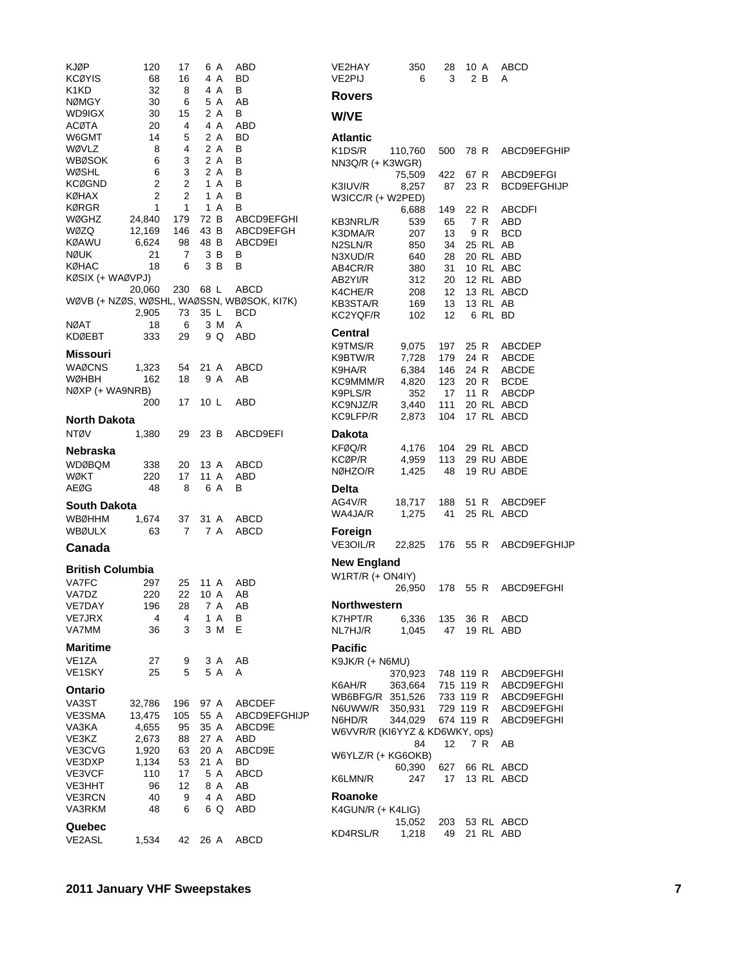| <b>KJØP</b><br>KCØYIS<br>K1KD<br>NØMGY<br>WD9IGX<br><b>ACØTA</b><br>W6GMT<br>WØVLZ<br><b>WBØSOK</b><br>WØSHL<br><b>KCØGND</b><br>KØHAX<br><b>KØRGR</b><br><b>WØGHZ</b><br>WØZQ<br><b>KØAWU</b><br><b>NØUK</b><br><b>KØHAC</b><br>KØSIX (+ WAØVPJ) | 120<br>68<br>32<br>30<br>30<br>20<br>14<br>8<br>6<br>6<br>2<br>2<br>1<br>24,840<br>12,169<br>6,624<br>21<br>18 | 17<br>16<br>8<br>6<br>15<br>4<br>5<br>4<br>3<br>3<br>2<br>2<br>1<br>179<br>146 43 B<br>98<br>7<br>6 | 72 B         | 6 A<br>4 A<br>4 A<br>5 A<br>2 A<br>4 A<br>2 A<br>2 A<br>2 A<br>2 A<br>1 A<br>1 A<br>1 A<br>3 B<br>3 B | ABD<br>BD<br>в<br>AB<br>в<br>ABD<br>BD<br>В<br>в<br>в<br>В<br>в<br>в<br><b>ABCD9EFGHI</b><br>ABCD9EFGH<br>48 B ABCD9EI<br>в<br>в |
|---------------------------------------------------------------------------------------------------------------------------------------------------------------------------------------------------------------------------------------------------|----------------------------------------------------------------------------------------------------------------|-----------------------------------------------------------------------------------------------------|--------------|-------------------------------------------------------------------------------------------------------|----------------------------------------------------------------------------------------------------------------------------------|
|                                                                                                                                                                                                                                                   | 20,060                                                                                                         | 230 68 L                                                                                            |              |                                                                                                       | ABCD<br>WØVB (+ NZØS, WØSHL, WAØSSN, WBØSOK, KI7K)                                                                               |
|                                                                                                                                                                                                                                                   | 2,905                                                                                                          | 73                                                                                                  |              | 35 L                                                                                                  | BCD                                                                                                                              |
| <b>NØAT</b>                                                                                                                                                                                                                                       | 18                                                                                                             | 6                                                                                                   |              | 3 M                                                                                                   | A                                                                                                                                |
| <b>KDØEBT</b>                                                                                                                                                                                                                                     | 333                                                                                                            | 29 —                                                                                                |              | 9 Q                                                                                                   | ABD                                                                                                                              |
| Missouri                                                                                                                                                                                                                                          |                                                                                                                |                                                                                                     |              |                                                                                                       |                                                                                                                                  |
| <b>WAØCNS</b><br>WØHBH                                                                                                                                                                                                                            | 1,323<br>162                                                                                                   | 54<br>18                                                                                            |              | 21 A<br>9 A                                                                                           | ABCD<br>AВ                                                                                                                       |
| NØXP (+ WA9NRB)                                                                                                                                                                                                                                   |                                                                                                                |                                                                                                     |              |                                                                                                       |                                                                                                                                  |
|                                                                                                                                                                                                                                                   | 200                                                                                                            |                                                                                                     | 17 10 L      |                                                                                                       | ABD                                                                                                                              |
| North Dakota                                                                                                                                                                                                                                      |                                                                                                                |                                                                                                     |              |                                                                                                       |                                                                                                                                  |
| <b>NTØV</b>                                                                                                                                                                                                                                       | 1,380                                                                                                          | 29                                                                                                  |              | 23 B                                                                                                  | ABCD9EFI                                                                                                                         |
| Nebraska                                                                                                                                                                                                                                          |                                                                                                                |                                                                                                     |              |                                                                                                       |                                                                                                                                  |
| <b>WDØBQM</b>                                                                                                                                                                                                                                     | 338                                                                                                            | 20                                                                                                  |              | 13 A                                                                                                  | ABCD                                                                                                                             |
| WØKT                                                                                                                                                                                                                                              | 220                                                                                                            | 17                                                                                                  |              | 11 A                                                                                                  | <b>ABD</b>                                                                                                                       |
| AEØG                                                                                                                                                                                                                                              | 48                                                                                                             | 8                                                                                                   |              | 6 A                                                                                                   | В                                                                                                                                |
| South Dakota                                                                                                                                                                                                                                      |                                                                                                                |                                                                                                     |              |                                                                                                       |                                                                                                                                  |
| <b>WBØHHM</b>                                                                                                                                                                                                                                     | 1,674                                                                                                          | 37                                                                                                  | 31 A         |                                                                                                       | ABCD                                                                                                                             |
| WBØULX                                                                                                                                                                                                                                            | 63                                                                                                             | 7                                                                                                   |              | 7 A                                                                                                   | <b>ABCD</b>                                                                                                                      |
| Canada                                                                                                                                                                                                                                            |                                                                                                                |                                                                                                     |              |                                                                                                       |                                                                                                                                  |
| <b>British Columbia</b>                                                                                                                                                                                                                           |                                                                                                                |                                                                                                     |              |                                                                                                       |                                                                                                                                  |
| <b>VA7FC</b>                                                                                                                                                                                                                                      | 297                                                                                                            | 25                                                                                                  | 11 A         |                                                                                                       | ABD                                                                                                                              |
| VA7DZ                                                                                                                                                                                                                                             | 220                                                                                                            | 22                                                                                                  | 10 A         |                                                                                                       | AB                                                                                                                               |
| VE7DAY                                                                                                                                                                                                                                            | 196                                                                                                            | 28                                                                                                  |              | 7 A                                                                                                   | AB                                                                                                                               |
| VE7JRX                                                                                                                                                                                                                                            | 4                                                                                                              | 4                                                                                                   |              | 1 A                                                                                                   | В                                                                                                                                |
| VA7MM                                                                                                                                                                                                                                             | 36                                                                                                             | 3                                                                                                   |              | 3 M                                                                                                   | E                                                                                                                                |
| <b>Maritime</b>                                                                                                                                                                                                                                   |                                                                                                                |                                                                                                     |              |                                                                                                       |                                                                                                                                  |
| VE <sub>1</sub> ZA<br>VE1SKY                                                                                                                                                                                                                      | 27<br>25                                                                                                       | 9<br>5                                                                                              |              | 3 A<br>5 A                                                                                            | AB<br>Α                                                                                                                          |
|                                                                                                                                                                                                                                                   |                                                                                                                |                                                                                                     |              |                                                                                                       |                                                                                                                                  |
| Ontario                                                                                                                                                                                                                                           |                                                                                                                |                                                                                                     |              |                                                                                                       |                                                                                                                                  |
| VA3ST<br>VE3SMA                                                                                                                                                                                                                                   | 32,786<br>13,475                                                                                               | 196<br>105                                                                                          | 97 A<br>55 A |                                                                                                       | ABCDEF<br>ABCD9EFGHIJP                                                                                                           |
| VA3KA                                                                                                                                                                                                                                             | 4,655                                                                                                          | 95                                                                                                  | 35 A         |                                                                                                       | ABCD9E                                                                                                                           |
| VE3KZ                                                                                                                                                                                                                                             | 2,673                                                                                                          | 88                                                                                                  | 27 A         |                                                                                                       | ABD                                                                                                                              |
| VE3CVG                                                                                                                                                                                                                                            | 1,920                                                                                                          | 63                                                                                                  | 20 A         |                                                                                                       | ABCD9E                                                                                                                           |
| VE3DXP                                                                                                                                                                                                                                            | 1,134                                                                                                          | 53                                                                                                  | 21 A         |                                                                                                       | BD                                                                                                                               |
| VE3VCF                                                                                                                                                                                                                                            | 110                                                                                                            | 17                                                                                                  |              | 5 A                                                                                                   | ABCD                                                                                                                             |
| <b>VE3HHT</b><br><b>VE3RCN</b>                                                                                                                                                                                                                    | 96<br>40                                                                                                       | 12<br>9                                                                                             |              | 8 A<br>4 A                                                                                            | AВ<br>ABD                                                                                                                        |
| VA3RKM                                                                                                                                                                                                                                            | 48                                                                                                             | 6                                                                                                   |              | 6 Q                                                                                                   | ABD                                                                                                                              |
| Quebec                                                                                                                                                                                                                                            |                                                                                                                |                                                                                                     |              |                                                                                                       |                                                                                                                                  |
| VE2ASL                                                                                                                                                                                                                                            | 1,534                                                                                                          | 42                                                                                                  |              | 26 A                                                                                                  | ABCD                                                                                                                             |

| VE2HAY<br>VE2PIJ               | 350<br>6               | 28<br>3   | 10 A       | 2 B          | ABCD<br>A                       |  |  |
|--------------------------------|------------------------|-----------|------------|--------------|---------------------------------|--|--|
| <b>Rovers</b>                  |                        |           |            |              |                                 |  |  |
|                                |                        |           |            |              |                                 |  |  |
| <b>W/VE</b>                    |                        |           |            |              |                                 |  |  |
| Atlantic<br>K1DS/R             | 110,760                | 500       |            | 78 R         | ABCD9EFGHIP                     |  |  |
| NN3Q/R (+ K3WGR)               |                        |           |            |              |                                 |  |  |
| K3IUV/R                        | 75,509<br>8,257        | 422<br>87 |            | 67 R<br>23 R | ABCD9EFGI<br><b>BCD9EFGHIJP</b> |  |  |
| W3ICC/R (+ W2PED)              |                        |           |            | 22 R         | <b>ABCDFI</b>                   |  |  |
| KB3NRL/R                       | 6,688 149<br>539       | 65        | 7 R        |              | ABD                             |  |  |
| K3DMA/R                        | 207                    | 13        |            | 9 R          | <b>BCD</b>                      |  |  |
| N2SLN/R                        | 850<br>640             | 34        |            | 25 RL AB     |                                 |  |  |
| N3XUD/R<br>AB4CR/R             |                        | 28        |            |              | 20 RL ABD<br>31 10 RL ABC       |  |  |
| AB2YI/R                        | 380<br>312             | 20        |            |              | 12 RL ABD                       |  |  |
| K4CHE/R                        | 208                    | 12        |            |              | 13 RL ABCD                      |  |  |
| <b>KB3STA/R</b>                | 169                    | 13        |            | 13 RL AB     |                                 |  |  |
| KC2YQF/R                       | 102                    |           | 12 6 RL BD |              |                                 |  |  |
| Central                        |                        |           |            |              |                                 |  |  |
| K9TMS/R                        | 9,075                  |           |            |              | 197 25 R ABCDEP                 |  |  |
| K9BTW/R<br>K9HA/R              | 7,728 179<br>6,384 146 |           |            | 24 R<br>24 R | ABCDE<br><b>ABCDE</b>           |  |  |
| KC9MMM/R                       | 4,820 123 20 R         |           |            |              | <b>BCDE</b>                     |  |  |
| K9PLS/R                        |                        | 17        | 11 R       |              | <b>ABCDP</b>                    |  |  |
| KC9NJZ/R                       | 352 17<br>3,440 111    |           |            |              | 20 RL ABCD                      |  |  |
| KC9LFP/R                       | 2,873 104              |           |            |              | 17 RL ABCD                      |  |  |
| Dakota                         |                        |           |            |              |                                 |  |  |
| KFØQ/R                         | 4,176 104 29 RL ABCD   |           |            |              |                                 |  |  |
| KCØP/R<br>NØHZO/R              | 4,959 113<br>1,425     | 48        |            |              | 29 RU ABDE<br>19 RU ABDE        |  |  |
|                                |                        |           |            |              |                                 |  |  |
| Delta<br>AG4V/R                | 18,717                 | 188       |            | 51 R         | ABCD9EF                         |  |  |
| WA4JA/R                        | 1,275                  | 41        |            |              | 25 RL ABCD                      |  |  |
| Foreign                        |                        |           |            |              |                                 |  |  |
| VE3OIL/R                       | 22,825                 | 176       |            | 55 R         | ABCD9EFGHIJP                    |  |  |
| <b>New England</b>             |                        |           |            |              |                                 |  |  |
| W1RT/R (+ ON4IY)               |                        |           |            |              |                                 |  |  |
|                                | 26,950                 | 178       | 55 R       |              | ABCD9EFGHI                      |  |  |
| Northwestern                   |                        |           |            |              |                                 |  |  |
| K7HPT/R                        | 6,336                  | 135       | 36 R       |              | <b>ABCD</b>                     |  |  |
| NL7HJ/R                        | 1,045                  | 47        |            |              | 19 RL ABD                       |  |  |
| <b>Pacific</b>                 |                        |           |            |              |                                 |  |  |
| K9JK/R (+ N6MU)                | 370,923 748 119 R      |           |            |              | ABCD9EFGHI                      |  |  |
| K6AH/R                         | 363,664 715 119 R      |           |            |              | ABCD9EFGHI                      |  |  |
| WB6BFG/R                       | 351,526 733 119 R      |           |            |              | <b>ABCD9EFGHI</b>               |  |  |
| N6UWW/R                        | 350,931 729 119 R      |           |            |              | ABCD9EFGHI                      |  |  |
| N6HD/R                         | 344,029 674 119 R      |           |            |              | ABCD9EFGHI                      |  |  |
| W6VVR/R (KI6YYZ & KD6WKY, ops) | 84                     | 12        |            | 7 R          | AВ                              |  |  |
| W6YLZ/R (+ KG6OKB)             |                        |           |            |              |                                 |  |  |
| K6LMN/R                        | 60,390<br>247          | 17        |            |              | 627 66 RL ABCD                  |  |  |
|                                |                        |           |            |              | 13 RL ABCD                      |  |  |
| Roanoke<br>K4GUN/R (+ K4LIG)   |                        |           |            |              |                                 |  |  |
|                                | 15,052                 | 203       |            |              | 53 RL ABCD                      |  |  |
| KD4RSL/R                       | 1,218                  | 49        |            |              | 21 RL ABD                       |  |  |
|                                |                        |           |            |              |                                 |  |  |